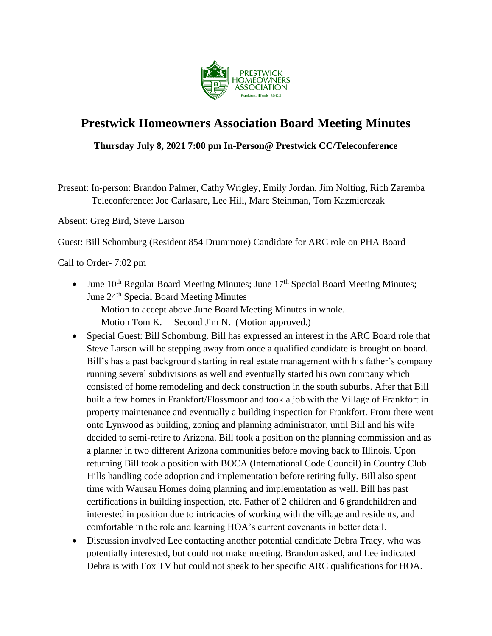

# **Prestwick Homeowners Association Board Meeting Minutes**

# **Thursday July 8, 2021 7:00 pm In-Person@ Prestwick CC/Teleconference**

Present: In-person: Brandon Palmer, Cathy Wrigley, Emily Jordan, Jim Nolting, Rich Zaremba Teleconference: Joe Carlasare, Lee Hill, Marc Steinman, Tom Kazmierczak

Absent: Greg Bird, Steve Larson

Guest: Bill Schomburg (Resident 854 Drummore) Candidate for ARC role on PHA Board

#### Call to Order- 7:02 pm

• June  $10^{th}$  Regular Board Meeting Minutes; June  $17^{th}$  Special Board Meeting Minutes; June 24<sup>th</sup> Special Board Meeting Minutes

Motion to accept above June Board Meeting Minutes in whole.

Motion Tom K. Second Jim N. (Motion approved.)

- Special Guest: Bill Schomburg. Bill has expressed an interest in the ARC Board role that Steve Larsen will be stepping away from once a qualified candidate is brought on board. Bill's has a past background starting in real estate management with his father's company running several subdivisions as well and eventually started his own company which consisted of home remodeling and deck construction in the south suburbs. After that Bill built a few homes in Frankfort/Flossmoor and took a job with the Village of Frankfort in property maintenance and eventually a building inspection for Frankfort. From there went onto Lynwood as building, zoning and planning administrator, until Bill and his wife decided to semi-retire to Arizona. Bill took a position on the planning commission and as a planner in two different Arizona communities before moving back to Illinois. Upon returning Bill took a position with BOCA (International Code Council) in Country Club Hills handling code adoption and implementation before retiring fully. Bill also spent time with Wausau Homes doing planning and implementation as well. Bill has past certifications in building inspection, etc. Father of 2 children and 6 grandchildren and interested in position due to intricacies of working with the village and residents, and comfortable in the role and learning HOA's current covenants in better detail.
- Discussion involved Lee contacting another potential candidate Debra Tracy, who was potentially interested, but could not make meeting. Brandon asked, and Lee indicated Debra is with Fox TV but could not speak to her specific ARC qualifications for HOA.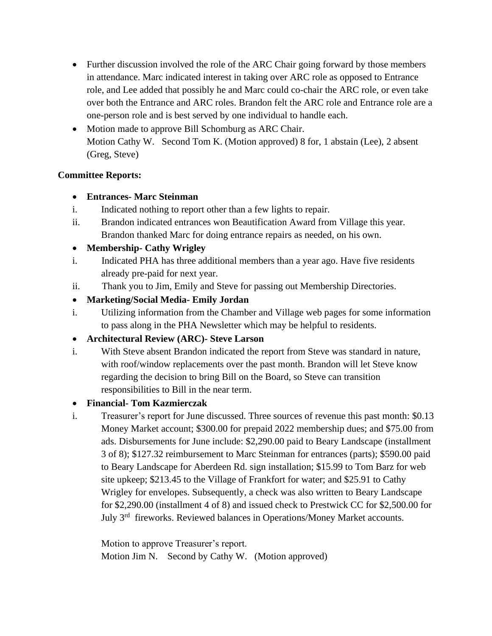- Further discussion involved the role of the ARC Chair going forward by those members in attendance. Marc indicated interest in taking over ARC role as opposed to Entrance role, and Lee added that possibly he and Marc could co-chair the ARC role, or even take over both the Entrance and ARC roles. Brandon felt the ARC role and Entrance role are a one-person role and is best served by one individual to handle each.
- Motion made to approve Bill Schomburg as ARC Chair. Motion Cathy W. Second Tom K. (Motion approved) 8 for, 1 abstain (Lee), 2 absent (Greg, Steve)

# **Committee Reports:**

# • **Entrances- Marc Steinman**

- i. Indicated nothing to report other than a few lights to repair.
- ii. Brandon indicated entrances won Beautification Award from Village this year. Brandon thanked Marc for doing entrance repairs as needed, on his own.

# • **Membership- Cathy Wrigley**

- i. Indicated PHA has three additional members than a year ago. Have five residents already pre-paid for next year.
- ii. Thank you to Jim, Emily and Steve for passing out Membership Directories.
- **Marketing/Social Media- Emily Jordan**
- i. Utilizing information from the Chamber and Village web pages for some information to pass along in the PHA Newsletter which may be helpful to residents.
- **Architectural Review (ARC)- Steve Larson**
- i. With Steve absent Brandon indicated the report from Steve was standard in nature, with roof/window replacements over the past month. Brandon will let Steve know regarding the decision to bring Bill on the Board, so Steve can transition responsibilities to Bill in the near term.

#### • **Financial- Tom Kazmierczak**

i. Treasurer's report for June discussed. Three sources of revenue this past month: \$0.13 Money Market account; \$300.00 for prepaid 2022 membership dues; and \$75.00 from ads. Disbursements for June include: \$2,290.00 paid to Beary Landscape (installment 3 of 8); \$127.32 reimbursement to Marc Steinman for entrances (parts); \$590.00 paid to Beary Landscape for Aberdeen Rd. sign installation; \$15.99 to Tom Barz for web site upkeep; \$213.45 to the Village of Frankfort for water; and \$25.91 to Cathy Wrigley for envelopes. Subsequently, a check was also written to Beary Landscape for \$2,290.00 (installment 4 of 8) and issued check to Prestwick CC for \$2,500.00 for July 3<sup>rd</sup> fireworks. Reviewed balances in Operations/Money Market accounts.

Motion to approve Treasurer's report. Motion Jim N. Second by Cathy W. (Motion approved)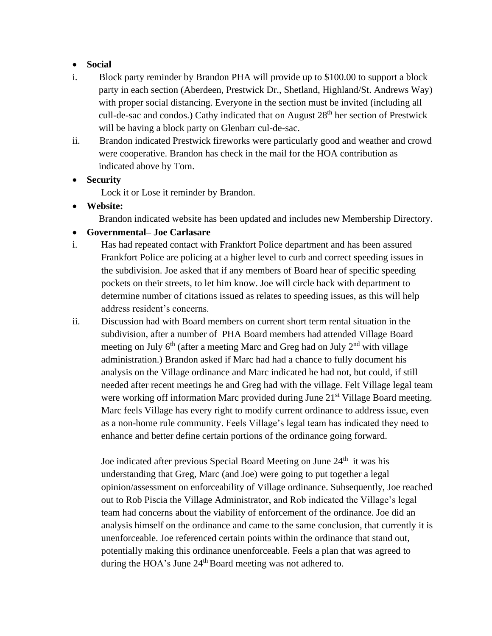#### • **Social**

- i. Block party reminder by Brandon PHA will provide up to \$100.00 to support a block party in each section (Aberdeen, Prestwick Dr., Shetland, Highland/St. Andrews Way) with proper social distancing. Everyone in the section must be invited (including all cull-de-sac and condos.) Cathy indicated that on August 28th her section of Prestwick will be having a block party on Glenbarr cul-de-sac.
- ii. Brandon indicated Prestwick fireworks were particularly good and weather and crowd were cooperative. Brandon has check in the mail for the HOA contribution as indicated above by Tom.
- **Security**
	- Lock it or Lose it reminder by Brandon.
- **Website:**

Brandon indicated website has been updated and includes new Membership Directory.

- **Governmental– Joe Carlasare**
- i. Has had repeated contact with Frankfort Police department and has been assured Frankfort Police are policing at a higher level to curb and correct speeding issues in the subdivision. Joe asked that if any members of Board hear of specific speeding pockets on their streets, to let him know. Joe will circle back with department to determine number of citations issued as relates to speeding issues, as this will help address resident's concerns.
- ii. Discussion had with Board members on current short term rental situation in the subdivision, after a number of PHA Board members had attended Village Board meeting on July  $6<sup>th</sup>$  (after a meeting Marc and Greg had on July  $2<sup>nd</sup>$  with village administration.) Brandon asked if Marc had had a chance to fully document his analysis on the Village ordinance and Marc indicated he had not, but could, if still needed after recent meetings he and Greg had with the village. Felt Village legal team were working off information Marc provided during June 21<sup>st</sup> Village Board meeting. Marc feels Village has every right to modify current ordinance to address issue, even as a non-home rule community. Feels Village's legal team has indicated they need to enhance and better define certain portions of the ordinance going forward.

Joe indicated after previous Special Board Meeting on June  $24<sup>th</sup>$  it was his understanding that Greg, Marc (and Joe) were going to put together a legal opinion/assessment on enforceability of Village ordinance. Subsequently, Joe reached out to Rob Piscia the Village Administrator, and Rob indicated the Village's legal team had concerns about the viability of enforcement of the ordinance. Joe did an analysis himself on the ordinance and came to the same conclusion, that currently it is unenforceable. Joe referenced certain points within the ordinance that stand out, potentially making this ordinance unenforceable. Feels a plan that was agreed to during the HOA's June  $24<sup>th</sup>$  Board meeting was not adhered to.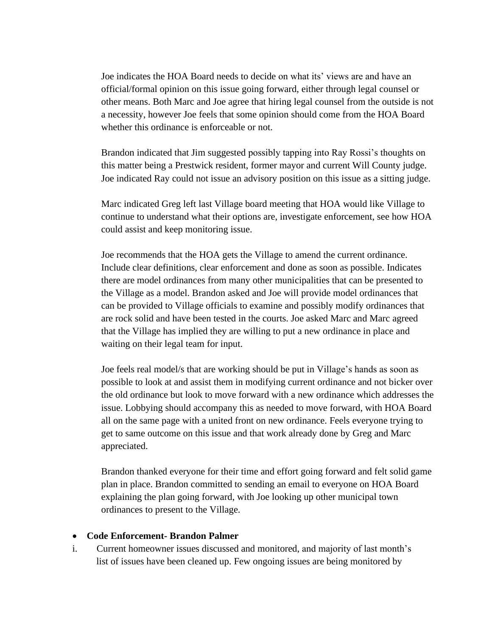Joe indicates the HOA Board needs to decide on what its' views are and have an official/formal opinion on this issue going forward, either through legal counsel or other means. Both Marc and Joe agree that hiring legal counsel from the outside is not a necessity, however Joe feels that some opinion should come from the HOA Board whether this ordinance is enforceable or not.

Brandon indicated that Jim suggested possibly tapping into Ray Rossi's thoughts on this matter being a Prestwick resident, former mayor and current Will County judge. Joe indicated Ray could not issue an advisory position on this issue as a sitting judge.

Marc indicated Greg left last Village board meeting that HOA would like Village to continue to understand what their options are, investigate enforcement, see how HOA could assist and keep monitoring issue.

Joe recommends that the HOA gets the Village to amend the current ordinance. Include clear definitions, clear enforcement and done as soon as possible. Indicates there are model ordinances from many other municipalities that can be presented to the Village as a model. Brandon asked and Joe will provide model ordinances that can be provided to Village officials to examine and possibly modify ordinances that are rock solid and have been tested in the courts. Joe asked Marc and Marc agreed that the Village has implied they are willing to put a new ordinance in place and waiting on their legal team for input.

Joe feels real model/s that are working should be put in Village's hands as soon as possible to look at and assist them in modifying current ordinance and not bicker over the old ordinance but look to move forward with a new ordinance which addresses the issue. Lobbying should accompany this as needed to move forward, with HOA Board all on the same page with a united front on new ordinance. Feels everyone trying to get to same outcome on this issue and that work already done by Greg and Marc appreciated.

Brandon thanked everyone for their time and effort going forward and felt solid game plan in place. Brandon committed to sending an email to everyone on HOA Board explaining the plan going forward, with Joe looking up other municipal town ordinances to present to the Village.

#### • **Code Enforcement- Brandon Palmer**

i.Current homeowner issues discussed and monitored, and majority of last month's list of issues have been cleaned up. Few ongoing issues are being monitored by